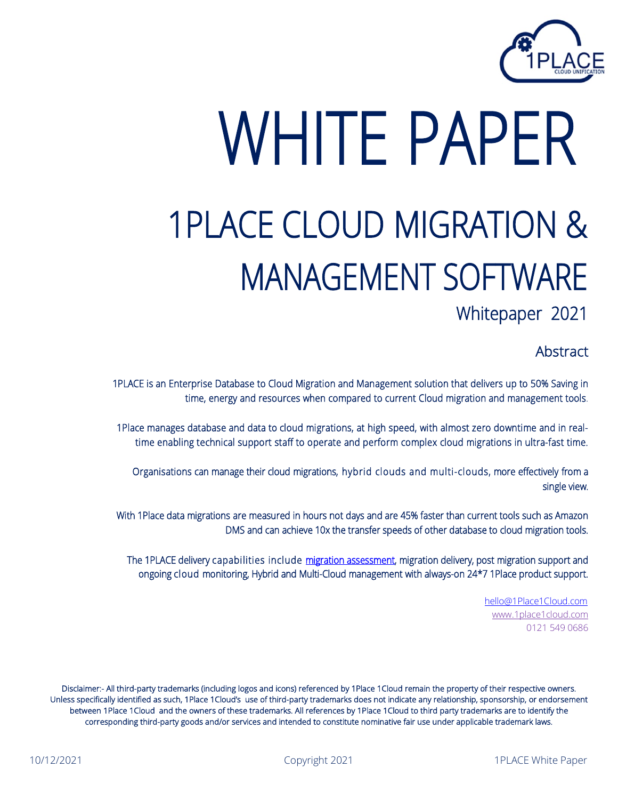

# WHITE PAPER 1PLACE CLOUD MIGRATION & MANAGEMENT SOFTWARE<br>Whitepaper 2021

**Abstract** 

1PLACE is an Enterprise Database to Cloud Migration and Management solution that delivers up to 50% Saving in time, energy and resources when compared to current Cloud migration and management tools.

1Place manages database and data to cloud migrations, at high speed, with almost zero downtime and in realtime enabling technical support staff to operate and perform complex cloud migrations in ultra-fast time.

Organisations can manage their cloud migrations, hybrid clouds and multi-clouds, more effectively from a single view.

With 1Place data migrations are measured in hours not days and are 45% faster than current tools such as Amazon DMS and can achieve 10x the transfer speeds of other database to cloud migration tools.

The 1PLACE delivery capabilities include [migration assessment,](https://1place1cloud.com/map-service/) migration delivery, post migration support and ongoing cloud monitoring, Hybrid and Multi-Cloud management with always-on 24\*7 1Place product support.

> [hello@1Place1Cloud.com](mailto:hello@1Place1Cloud.com) [www.1place1cloud.com](http://www.1place1cloud.com/) 0121 549 0686

Disclaimer:- All third-party trademarks (including logos and icons) referenced by 1Place 1Cloud remain the property of their respective owners. Unless specifically identified as such, 1Place 1Cloud's use of third-party trademarks does not indicate any relationship, sponsorship, or endorsement between 1Place 1Cloud and the owners of these trademarks. All references by 1Place 1Cloud to third party trademarks are to identify the corresponding third-party goods and/or services and intended to constitute nominative fair use under applicable trademark laws.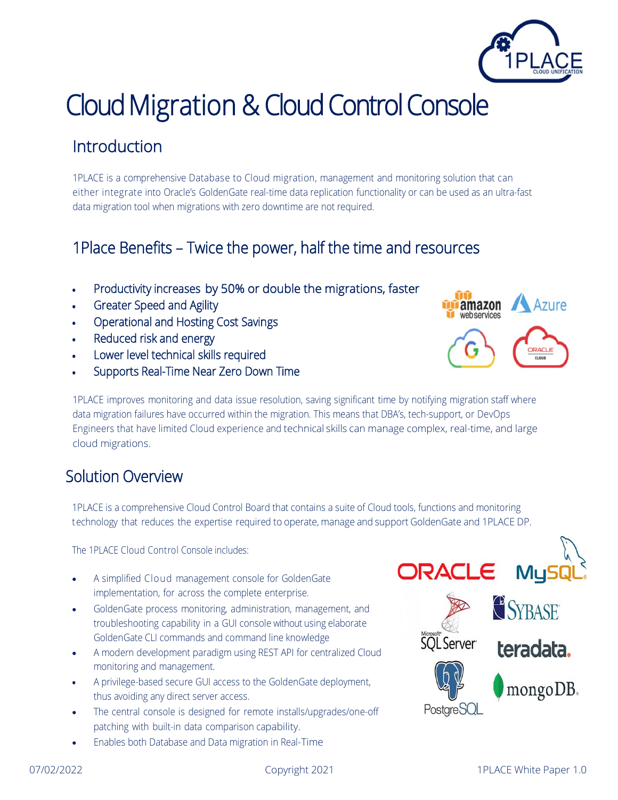## Cloud Migration & Cloud Control Console

### **Introduction**

1PLACE is a comprehensive Database to Cloud migration, management and monitoring solution that can either integrate into Oracle's GoldenGate real-time data replication functionality or can be used as an ultra-fast data migration tool when migrations with zero downtime are not required.

### 1Place Benefits – Twice the power, half the time and resources

- Productivity increases by 50% or double the migrations, faster
- Greater Speed and Agility
- Operational and Hosting Cost Savings
- Reduced risk and energy
- Lower level technical skills required
- Supports Real-Time Near Zero Down Time

1PLACE improves monitoring and data issue resolution, saving significant time by notifying migration staff where data migration failures have occurred within the migration. This means that DBA's, tech-support, or DevOps Engineers that have limited Cloud experience and technical skills can manage complex, real-time, and large cloud migrations.

#### Solution Overview

1PLACE is a comprehensive Cloud Control Board that contains a suite of Cloud tools, functions and monitoring technology that reduces the expertise required to operate, manage and support GoldenGate and 1PLACE DP.

The 1PLACE Cloud Control Console includes:

- A simplified Cloud management console for GoldenGate implementation, for across the complete enterprise.
- GoldenGate process monitoring, administration, management, and troubleshooting capability in a GUI console without using elaborate GoldenGate CLI commands and command line knowledge
- A modern development paradigm using REST API for centralized Cloud monitoring and management.
- A privilege-based secure GUI access to the GoldenGate deployment, thus avoiding any direct server access.
- The central console is designed for remote installs/upgrades/one-off patching with built-in data comparison capability.
- Enables both Database and Data migration in Real-Time





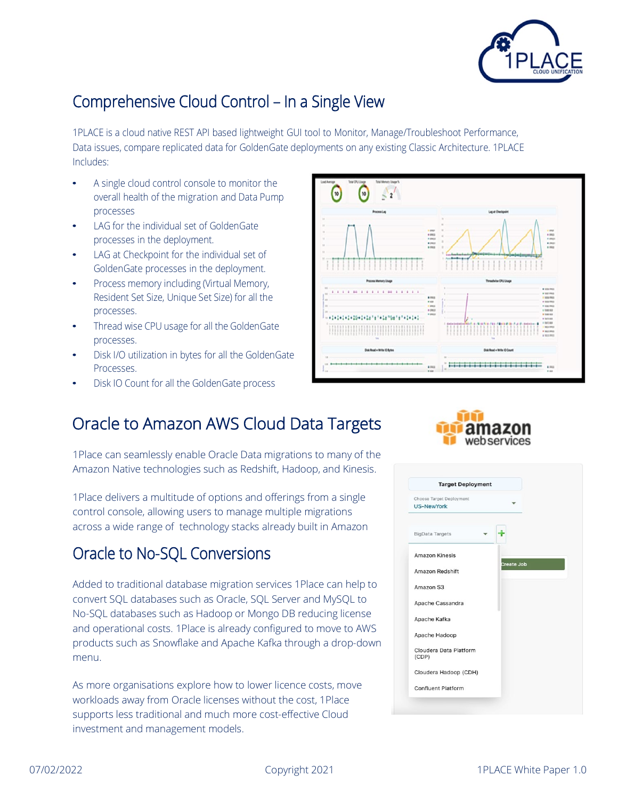

#### Comprehensive Cloud Control – In a Single View

1PLACE is a cloud native REST API based lightweight GUI tool to Monitor, Manage/Troubleshoot Performance, Data issues, compare replicated data for GoldenGate deployments on any existing Classic Architecture. 1PLACE Includes:

- A single cloud control console to monitor the overall health of the migration and Data Pump processes
- LAG for the individual set of GoldenGate processes in the deployment.
- LAG at Checkpoint for the individual set of GoldenGate processes in the deployment.
- Process memory including (Virtual Memory, Resident Set Size, Unique Set Size) for all the processes.
- Thread wise CPU usage for all the GoldenGate processes.
- Disk I/O utilization in bytes for all the GoldenGate Processes.
- Disk IO Count for all the GoldenGate process



#### Oracle to Amazon AWS Cloud Data Targets

1Place can seamlessly enable Oracle Data migrations to many of the Amazon Native technologies such as Redshift, Hadoop, and Kinesis.

1Place delivers a multitude of options and offerings from a single control console, allowing users to manage multiple migrations across a wide range of technology stacks already built in Amazon

#### Oracle to No-SQL Conversions

Added to traditional database migration services 1Place can help to convert SQL databases such as Oracle, SQL Server and MySQL to No-SQL databases such as Hadoop or Mongo DB reducing license and operational costs. 1Place is already configured to move to AWS products such as Snowflake and Apache Kafka through a drop-down menu.

As more organisations explore how to lower licence costs, move workloads away from Oracle licenses without the cost, 1Place supports less traditional and much more cost-effective Cloud investment and management models.



| <b>Target Deployment</b>                      |            |
|-----------------------------------------------|------------|
| Choose Target Deployment<br><b>US-NewYork</b> |            |
| <b>BigData Targets</b>                        |            |
| Amazon Kinesis                                |            |
| Amazon Redshift                               | Create Job |
| Amazon S3                                     |            |
| Apache Cassandra                              |            |
| Apache Kafka                                  |            |
| Apache Hadoop                                 |            |
| Cloudera Data Platform<br>(CDP)               |            |
| Cloudera Hadoop (CDH)                         |            |
| Confluent Platform                            |            |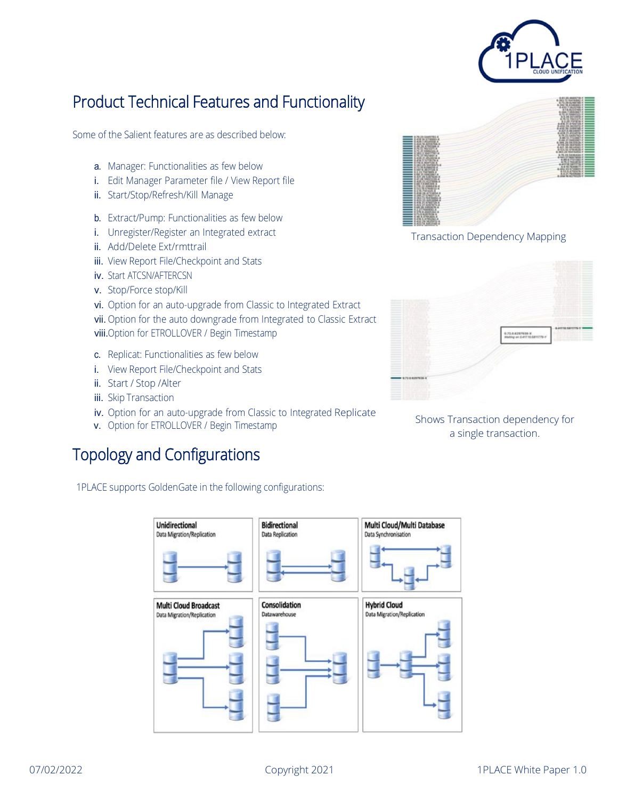

#### Product Technical Features and Functionality

Some of the Salient features are as described below:

- a. Manager: Functionalities as few below
- i. Edit Manager Parameter file / View Report file
- ii. Start/Stop/Refresh/Kill Manage
- b. Extract/Pump: Functionalities as few below
- i. Unregister/Register an Integrated extract
- ii. Add/Delete Ext/rmttrail
- iii. View Report File/Checkpoint and Stats
- iv. Start ATCSN/AFTERCSN
- v. Stop/Force stop/Kill
- vi. Option for an auto-upgrade from Classic to Integrated Extract
- vii. Option for the auto downgrade from Integrated to Classic Extract
- viii.Option for ETROLLOVER / Begin Timestamp
- c. Replicat: Functionalities as few below
- i. View Report File/Checkpoint and Stats
- ii. Start / Stop /Alter
- iii. Skip Transaction
- iv. Option for an auto-upgrade from Classic to Integrated Replicate
- v. Option for ETROLLOVER / Begin Timestamp

#### Topology and Configurations

1PLACE supports GoldenGate in the following configurations:





Transaction Dependency Mapping



Shows Transaction dependency for a single transaction.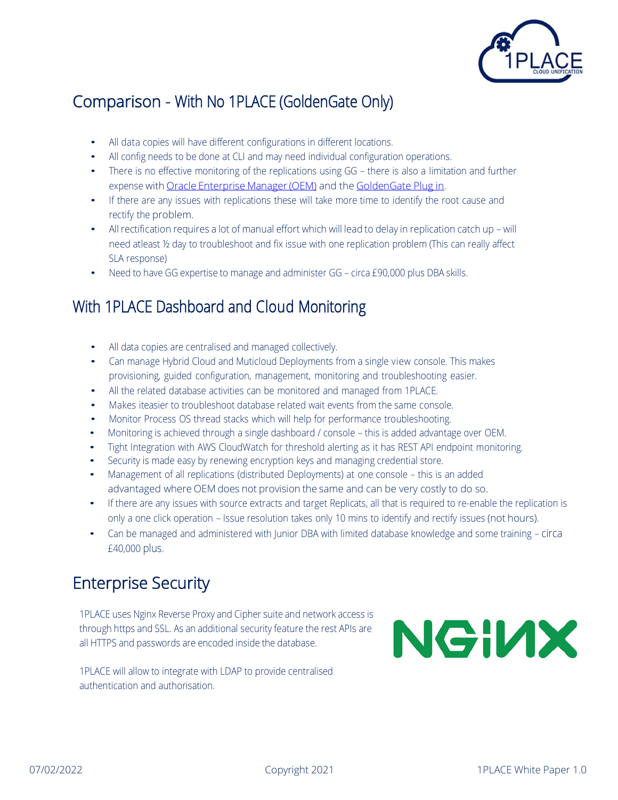

#### Comparison - With No 1PLACE (GoldenGate Only)

- All data copies will have different configurations in different locations.
- All config needs to be done at CLI and may need individual configuration operations.
- There is no effective monitoring of the replications using GG there is also a limitation and further expense with Oracle Enterprise Manager (OEM) and th[e GoldenGate](https://docs.oracle.com/goldengate/em1321/gg-emplugin/EMGGP/GUID-280280BF-CE71-4931-AF19-5855947CD60A.htm) Plug in.
- If there are any issues with replications these will take more time to identify the root cause and rectify the problem.
- All rectification requires a lot of manual effort which will lead to delay in replication catch up will need atleast ½ day to troubleshoot and fix issue with one replication problem (This can really affect SLA response)
- Need to have GG expertise to manage and administer GG circa £90,000 plus DBA skills.

#### With 1PLACE Dashboard and Cloud Monitoring

- All data copies are centralised and managed collectively.
- Can manage Hybrid Cloud and Muticloud Deployments from a single view console. This makes provisioning, guided configuration, management, monitoring and troubleshooting easier.
- All the related database activities can be monitored and managed from 1PLACE.
- Makes iteasier to troubleshoot database related wait events from the same console.
- Monitor Process OS thread stacks which will help for performance troubleshooting.
- Monitoring is achieved through a single dashboard / console this is added advantage over OEM.
- Tight Integration with AWS CloudWatch for threshold alerting as it has REST API endpoint monitoring.
- Security is made easy by renewing encryption keys and managing credential store.
- Management of all replications (distributed Deployments) at one console this is an added advantaged where OEM does not provision the same and can be very costly to do so.
- If there are any issues with source extracts and target Replicats, all that is required to re-enable the replication is only a one click operation – Issue resolution takes only 10 mins to identify and rectify issues (not hours).
- Can be managed and administered with Junior DBA with limited database knowledge and some training circa £40,000 plus.

#### Enterprise Security

1PLACE uses Nginx Reverse Proxy and Cipher suite and network access is through https and SSL. As an additional security feature the rest APIs are all HTTPS and passwords are encoded inside the database.